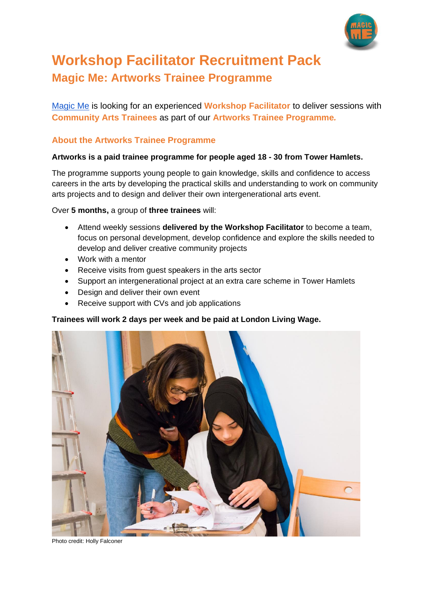

# **Workshop Facilitator Recruitment Pack Magic Me: Artworks Trainee Programme**

[Magic Me](https://magicme.co.uk/) is looking for an experienced **Workshop Facilitator** to deliver sessions with **Community Arts Trainees** as part of our **Artworks Trainee Programme***.*

## **About the Artworks Trainee Programme**

### **Artworks is a paid trainee programme for people aged 18 - 30 from Tower Hamlets.**

The programme supports young people to gain knowledge, skills and confidence to access careers in the arts by developing the practical skills and understanding to work on community arts projects and to design and deliver their own intergenerational arts event.

Over **5 months,** a group of **three trainees** will:

- Attend weekly sessions **delivered by the Workshop Facilitator** to become a team, focus on personal development, develop confidence and explore the skills needed to develop and deliver creative community projects
- Work with a mentor
- Receive visits from guest speakers in the arts sector
- Support an intergenerational project at an extra care scheme in Tower Hamlets
- Design and deliver their own event
- Receive support with CVs and job applications

**Trainees will work 2 days per week and be paid at London Living Wage.**



Photo credit: Holly Falconer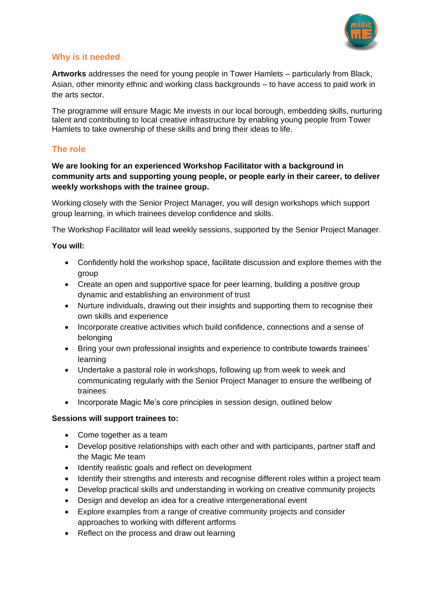

## **Why is it needed**

**Artworks** addresses the need for young people in Tower Hamlets – particularly from Black, Asian, other minority ethnic and working class backgrounds – to have access to paid work in the arts sector.

The programme will ensure Magic Me invests in our local borough, embedding skills, nurturing talent and contributing to local creative infrastructure by enabling young people from Tower Hamlets to take ownership of these skills and bring their ideas to life.

### **The role**

#### **We are looking for an experienced Workshop Facilitator with a background in community arts and supporting young people, or people early in their career, to deliver weekly workshops with the trainee group.**

Working closely with the Senior Project Manager, you will design workshops which support group learning, in which trainees develop confidence and skills.

The Workshop Facilitator will lead weekly sessions, supported by the Senior Project Manager.

#### **You will:**

- Confidently hold the workshop space, facilitate discussion and explore themes with the group
- Create an open and supportive space for peer learning, building a positive group dynamic and establishing an environment of trust
- Nurture individuals, drawing out their insights and supporting them to recognise their own skills and experience
- Incorporate creative activities which build confidence, connections and a sense of belonging
- Bring your own professional insights and experience to contribute towards trainees' learning
- Undertake a pastoral role in workshops, following up from week to week and communicating regularly with the Senior Project Manager to ensure the wellbeing of trainees
- Incorporate Magic Me's core principles in session design, outlined below

#### **Sessions will support trainees to:**

- Come together as a team
- Develop positive relationships with each other and with participants, partner staff and the Magic Me team
- Identify realistic goals and reflect on development
- Identify their strengths and interests and recognise different roles within a project team
- Develop practical skills and understanding in working on creative community projects
- Design and develop an idea for a creative intergenerational event
- Explore examples from a range of creative community projects and consider approaches to working with different artforms
- Reflect on the process and draw out learning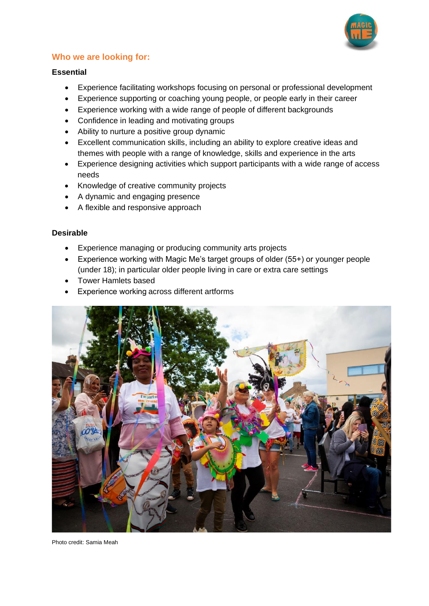

# **Who we are looking for:**

#### **Essential**

- Experience facilitating workshops focusing on personal or professional development
- Experience supporting or coaching young people, or people early in their career
- Experience working with a wide range of people of different backgrounds
- Confidence in leading and motivating groups
- Ability to nurture a positive group dynamic
- Excellent communication skills, including an ability to explore creative ideas and themes with people with a range of knowledge, skills and experience in the arts
- Experience designing activities which support participants with a wide range of access needs
- Knowledge of creative community projects
- A dynamic and engaging presence
- A flexible and responsive approach

### **Desirable**

- Experience managing or producing community arts projects
- Experience working with Magic Me's target groups of older (55+) or younger people (under 18); in particular older people living in care or extra care settings
- Tower Hamlets based
- Experience working across different artforms



Photo credit: Samia Meah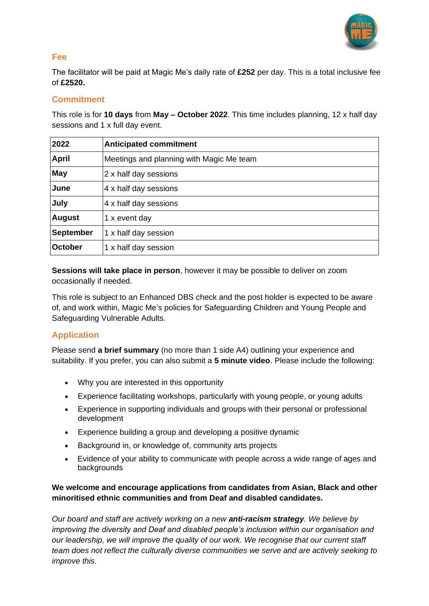

## **Fee**

The facilitator will be paid at Magic Me's daily rate of **£252** per day. This is a total inclusive fee of **£2520.**

## **Commitment**

This role is for **10 days** from **May – October 2022**. This time includes planning, 12 x half day sessions and 1 x full day event.

| 2022             | <b>Anticipated commitment</b>            |
|------------------|------------------------------------------|
| <b>April</b>     | Meetings and planning with Magic Me team |
| May              | 2 x half day sessions                    |
| June             | 4 x half day sessions                    |
| July             | 4 x half day sessions                    |
| <b>August</b>    | 1 x event day                            |
| <b>September</b> | 1 x half day session                     |
| October          | 1 x half day session                     |

**Sessions will take place in person**, however it may be possible to deliver on zoom occasionally if needed.

This role is subject to an Enhanced DBS check and the post holder is expected to be aware of, and work within, Magic Me's policies for Safeguarding Children and Young People and Safeguarding Vulnerable Adults.

# **Application**

Please send **a brief summary** (no more than 1 side A4) outlining your experience and suitability. If you prefer, you can also submit a **5 minute video**. Please include the following:

- Why you are interested in this opportunity
- Experience facilitating workshops, particularly with young people, or young adults
- Experience in supporting individuals and groups with their personal or professional development
- Experience building a group and developing a positive dynamic
- Background in, or knowledge of, community arts projects
- Evidence of your ability to communicate with people across a wide range of ages and backgrounds

## **We welcome and encourage applications from candidates from Asian, Black and other minoritised ethnic communities and from Deaf and disabled candidates.**

*Our board and staff are actively working on a new anti-racism strategy. We believe by improving the diversity and Deaf and disabled people's inclusion within our organisation and our leadership, we will improve the quality of our work. We recognise that our current staff team does not reflect the culturally diverse communities we serve and are actively seeking to improve this.*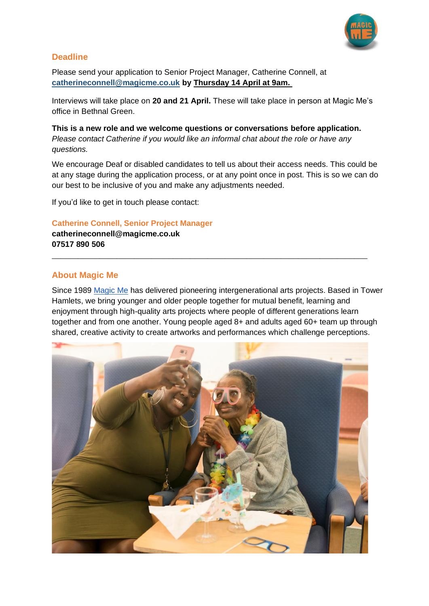

## **Deadline**

Please send your application to Senior Project Manager, Catherine Connell, at **[catherineconnell@magicme.co.uk](mailto:catherineconnell@magicme.co.uk) by Thursday 14 April at 9am.**

Interviews will take place on **20 and 21 April.** These will take place in person at Magic Me's office in Bethnal Green.

**This is a new role and we welcome questions or conversations before application.** *Please contact Catherine if you would like an informal chat about the role or have any questions.*

We encourage Deaf or disabled candidates to tell us about their access needs. This could be at any stage during the application process, or at any point once in post. This is so we can do our best to be inclusive of you and make any adjustments needed.

If you'd like to get in touch please contact:

#### **Catherine Connell, Senior Project Manager**

**catherineconnell@magicme.co.uk 07517 890 506**

#### **About Magic Me**

Since 1989 [Magic Me](https://magicme.co.uk/) has delivered pioneering intergenerational arts projects. Based in Tower Hamlets, we bring younger and older people together for mutual benefit, learning and enjoyment through high-quality arts projects where people of different generations learn together and from one another. Young people aged 8+ and adults aged 60+ team up through shared, creative activity to create artworks and performances which challenge perceptions.

\_\_\_\_\_\_\_\_\_\_\_\_\_\_\_\_\_\_\_\_\_\_\_\_\_\_\_\_\_\_\_\_\_\_\_\_\_\_\_\_\_\_\_\_\_\_\_\_\_\_\_\_\_\_\_\_\_\_\_\_\_\_\_\_\_\_\_\_\_\_\_\_\_